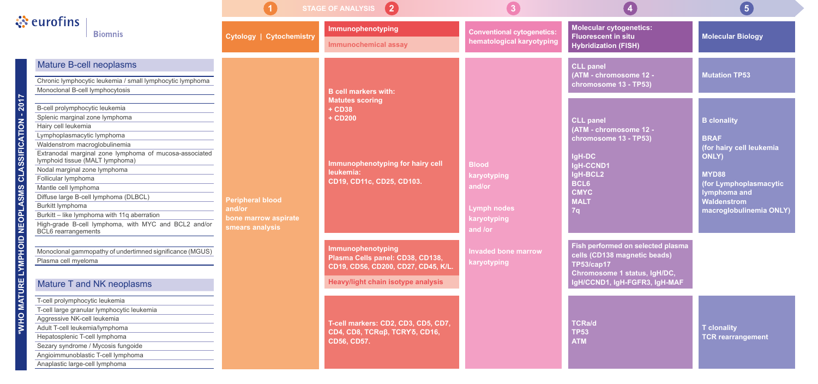|                                                                 |                                                                                                                                                                                                                                                                                                                                                                                                                                                                                                                                      | $\bullet$<br><b>STAGE OF ANALYSIS</b>                                        |                                                                                                                                                          | $\mathbf{3}$                                                                                                                |                                                                                                                                                           | $\left( 5\right)$                                                                                                                                                                 |
|-----------------------------------------------------------------|--------------------------------------------------------------------------------------------------------------------------------------------------------------------------------------------------------------------------------------------------------------------------------------------------------------------------------------------------------------------------------------------------------------------------------------------------------------------------------------------------------------------------------------|------------------------------------------------------------------------------|----------------------------------------------------------------------------------------------------------------------------------------------------------|-----------------------------------------------------------------------------------------------------------------------------|-----------------------------------------------------------------------------------------------------------------------------------------------------------|-----------------------------------------------------------------------------------------------------------------------------------------------------------------------------------|
|                                                                 | $\ddot{\mathbf{S}}$ eurofins<br><b>Biomnis</b>                                                                                                                                                                                                                                                                                                                                                                                                                                                                                       | <b>Cytology   Cytochemistry</b>                                              | Immunophenotyping<br><b>Immunochemical assay</b>                                                                                                         | <b>Conventional cytogenetics:</b><br>hematological karyotyping                                                              | <b>Molecular cytogenetics:</b><br><b>Fluorescent in situ</b><br><b>Hybridization (FISH)</b>                                                               | <b>Molecular Biology</b>                                                                                                                                                          |
| JRE LYMPHOID NEOPLASMS CLASSIFICATION - 2017<br><b>TAM OHW*</b> | <b>Mature B-cell neoplasms</b><br>Chronic lymphocytic leukemia / small lymphocytic lymphoma<br>Monoclonal B-cell lymphocytosis                                                                                                                                                                                                                                                                                                                                                                                                       | <b>Peripheral blood</b><br>and/or<br>bone marrow aspirate<br>smears analysis | <b>B</b> cell markers with:<br><b>Matutes scoring</b><br>+ CD38<br>+ CD200<br>Immunophenotyping for hairy cell<br>leukemia:<br>CD19, CD11c, CD25, CD103. | <b>Blood</b><br>karyotyping<br>and/or<br>Lymph nodes<br>karyotyping<br>and /or<br><b>Invaded bone marrow</b><br>karyotyping | <b>CLL panel</b><br>(ATM - chromosome 12 -<br>chromosome 13 - TP53)                                                                                       | <b>Mutation TP53</b>                                                                                                                                                              |
|                                                                 | B-cell prolymphocytic leukemia<br>Splenic marginal zone lymphoma<br>Hairy cell leukemia<br>Lymphoplasmacytic lymphoma<br>Waldenstrom macroglobulinemia<br>Extranodal marginal zone lymphoma of mucosa-associated<br>lymphoid tissue (MALT lymphoma)<br>Nodal marginal zone lymphoma<br>Follicular lymphoma<br>Mantle cell lymphoma<br>Diffuse large B-cell lymphoma (DLBCL)<br>Burkitt lymphoma<br>Burkitt - like lymphoma with 11q aberration<br>High-grade B-cell lymphoma, with MYC and BCL2 and/or<br><b>BCL6</b> rearrangements |                                                                              |                                                                                                                                                          |                                                                                                                             | <b>CLL panel</b><br>(ATM - chromosome 12 -<br>chromosome 13 - TP53)<br>IgH-DC<br>IgH-CCND1<br>IgH-BCL2<br><b>BCL6</b><br><b>CMYC</b><br><b>MALT</b><br>7q | <b>B</b> clonality<br><b>BRAF</b><br>(for hairy cell leukemia<br><b>ONLY)</b><br>MYD88<br>(for Lymphoplasmacytic<br>lymphoma and<br><b>Waldenstrom</b><br>macroglobulinemia ONLY) |
|                                                                 | Monoclonal gammopathy of undertimned significance (MGUS)<br>Plasma cell myeloma                                                                                                                                                                                                                                                                                                                                                                                                                                                      |                                                                              | Immunophenotyping<br>Plasma Cells panel: CD38, CD138,<br>CD19, CD56, CD200, CD27, CD45, K/L.<br><b>Heavy/light chain isotype analysis</b>                |                                                                                                                             | Fish performed on selected plasma<br>cells (CD138 magnetic beads)<br><b>TP53/cap17</b><br>Chromosome 1 status, IgH/DC,<br>IgH/CCND1, IgH-FGFR3, IgH-MAF   |                                                                                                                                                                                   |
|                                                                 | Mature T and NK neoplasms<br>T-cell prolymphocytic leukemia<br>T-cell large granular lymphocytic leukemia<br>Aggressive NK-cell leukemia<br>Adult T-cell leukemia/lymphoma<br>Hepatosplenic T-cell lymphoma<br>Sezary syndrome / Mycosis fungoide<br>Angioimmunoblastic T-cell lymphoma<br>Anaplastic large-cell lymphoma                                                                                                                                                                                                            |                                                                              | T-cell markers: CD2, CD3, CD5, CD7,<br>CD4, CD8, TCRαβ, TCRYδ, CD16,<br><b>CD56, CD57.</b>                                                               |                                                                                                                             | <b>TCRa/d</b><br><b>TP53</b><br><b>ATM</b>                                                                                                                | <b>T</b> clonality<br><b>TCR rearrangement</b>                                                                                                                                    |